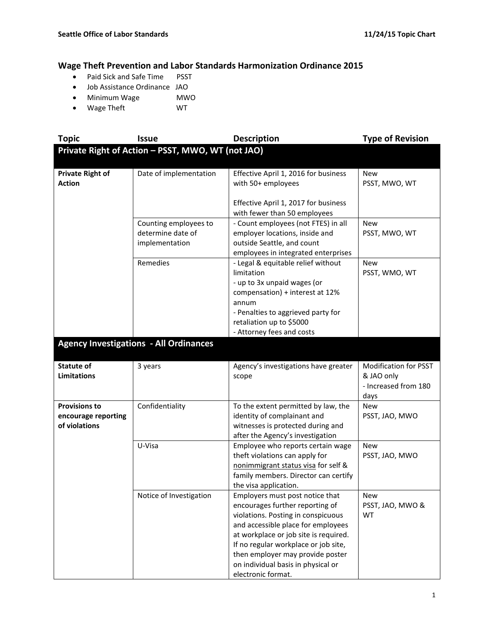## **Wage Theft Prevention and Labor Standards Harmonization Ordinance 2015**

- Paid Sick and Safe Time PSST
- Job Assistance Ordinance JAO
- Minimum Wage MWO
- Wage Theft WT

| <b>Topic</b>                                                 | <b>Issue</b>                                                 | <b>Description</b>                                                                                                                                                                                                                                                                                                              | <b>Type of Revision</b>                                                    |
|--------------------------------------------------------------|--------------------------------------------------------------|---------------------------------------------------------------------------------------------------------------------------------------------------------------------------------------------------------------------------------------------------------------------------------------------------------------------------------|----------------------------------------------------------------------------|
|                                                              | Private Right of Action - PSST, MWO, WT (not JAO)            |                                                                                                                                                                                                                                                                                                                                 |                                                                            |
| <b>Private Right of</b><br><b>Action</b>                     | Date of implementation                                       | Effective April 1, 2016 for business<br>with 50+ employees                                                                                                                                                                                                                                                                      | <b>New</b><br>PSST, MWO, WT                                                |
|                                                              |                                                              | Effective April 1, 2017 for business<br>with fewer than 50 employees                                                                                                                                                                                                                                                            |                                                                            |
|                                                              | Counting employees to<br>determine date of<br>implementation | - Count employees (not FTES) in all<br>employer locations, inside and<br>outside Seattle, and count<br>employees in integrated enterprises                                                                                                                                                                                      | <b>New</b><br>PSST, MWO, WT                                                |
|                                                              | Remedies                                                     | - Legal & equitable relief without<br>limitation<br>- up to 3x unpaid wages (or<br>compensation) + interest at 12%<br>annum<br>- Penalties to aggrieved party for<br>retaliation up to \$5000<br>- Attorney fees and costs                                                                                                      | <b>New</b><br>PSST, WMO, WT                                                |
|                                                              | <b>Agency Investigations - All Ordinances</b>                |                                                                                                                                                                                                                                                                                                                                 |                                                                            |
|                                                              |                                                              |                                                                                                                                                                                                                                                                                                                                 |                                                                            |
| <b>Statute of</b><br><b>Limitations</b>                      | 3 years                                                      | Agency's investigations have greater<br>scope                                                                                                                                                                                                                                                                                   | <b>Modification for PSST</b><br>& JAO only<br>- Increased from 180<br>days |
| <b>Provisions to</b><br>encourage reporting<br>of violations | Confidentiality                                              | To the extent permitted by law, the<br>identity of complainant and<br>witnesses is protected during and<br>after the Agency's investigation                                                                                                                                                                                     | New<br>PSST, JAO, MWO                                                      |
|                                                              | U-Visa                                                       | Employee who reports certain wage<br>theft violations can apply for<br>nonimmigrant status visa for self &<br>family members. Director can certify<br>the visa application.                                                                                                                                                     | <b>New</b><br>PSST, JAO, MWO                                               |
|                                                              | Notice of Investigation                                      | Employers must post notice that<br>encourages further reporting of<br>violations. Posting in conspicuous<br>and accessible place for employees<br>at workplace or job site is required.<br>If no regular workplace or job site,<br>then employer may provide poster<br>on individual basis in physical or<br>electronic format. | New<br>PSST, JAO, MWO &<br><b>WT</b>                                       |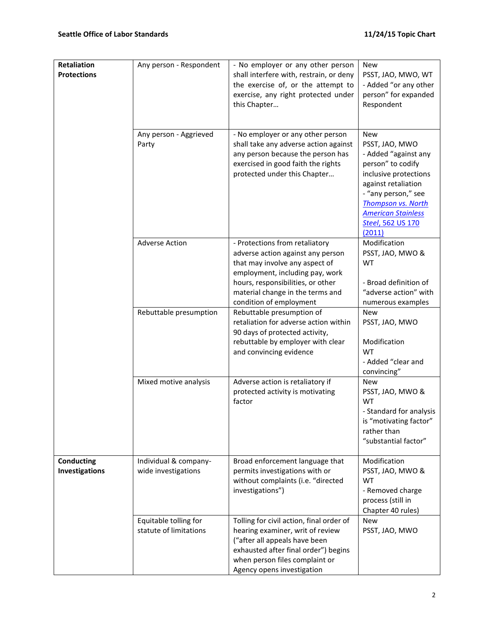| Retaliation<br><b>Protections</b>   | Any person - Respondent                         | - No employer or any other person<br>shall interfere with, restrain, or deny<br>the exercise of, or the attempt to<br>exercise, any right protected under<br>this Chapter                                                                    | <b>New</b><br>PSST, JAO, MWO, WT<br>- Added "or any other<br>person" for expanded<br>Respondent                                                                                                                                           |
|-------------------------------------|-------------------------------------------------|----------------------------------------------------------------------------------------------------------------------------------------------------------------------------------------------------------------------------------------------|-------------------------------------------------------------------------------------------------------------------------------------------------------------------------------------------------------------------------------------------|
|                                     | Any person - Aggrieved<br>Party                 | - No employer or any other person<br>shall take any adverse action against<br>any person because the person has<br>exercised in good faith the rights<br>protected under this Chapter                                                        | <b>New</b><br>PSST, JAO, MWO<br>- Added "against any<br>person" to codify<br>inclusive protections<br>against retaliation<br>- "any person," see<br><b>Thompson vs. North</b><br><b>American Stainless</b><br>Steel, 562 US 170<br>(2011) |
|                                     | <b>Adverse Action</b>                           | - Protections from retaliatory<br>adverse action against any person<br>that may involve any aspect of<br>employment, including pay, work<br>hours, responsibilities, or other<br>material change in the terms and<br>condition of employment | Modification<br>PSST, JAO, MWO &<br><b>WT</b><br>- Broad definition of<br>"adverse action" with<br>numerous examples                                                                                                                      |
|                                     | Rebuttable presumption                          | Rebuttable presumption of<br>retaliation for adverse action within<br>90 days of protected activity,<br>rebuttable by employer with clear<br>and convincing evidence                                                                         | <b>New</b><br>PSST, JAO, MWO<br>Modification<br><b>WT</b><br>- Added "clear and<br>convincing"                                                                                                                                            |
|                                     | Mixed motive analysis                           | Adverse action is retaliatory if<br>protected activity is motivating<br>factor                                                                                                                                                               | <b>New</b><br>PSST, JAO, MWO &<br>WT<br>- Standard for analysis<br>is "motivating factor"<br>rather than<br>"substantial factor"                                                                                                          |
| <b>Conducting</b><br>Investigations | Individual & company-<br>wide investigations    | Broad enforcement language that<br>permits investigations with or<br>without complaints (i.e. "directed<br>investigations")                                                                                                                  | Modification<br>PSST, JAO, MWO &<br><b>WT</b><br>- Removed charge<br>process (still in<br>Chapter 40 rules)                                                                                                                               |
|                                     | Equitable tolling for<br>statute of limitations | Tolling for civil action, final order of<br>hearing examiner, writ of review<br>("after all appeals have been<br>exhausted after final order") begins<br>when person files complaint or<br>Agency opens investigation                        | <b>New</b><br>PSST, JAO, MWO                                                                                                                                                                                                              |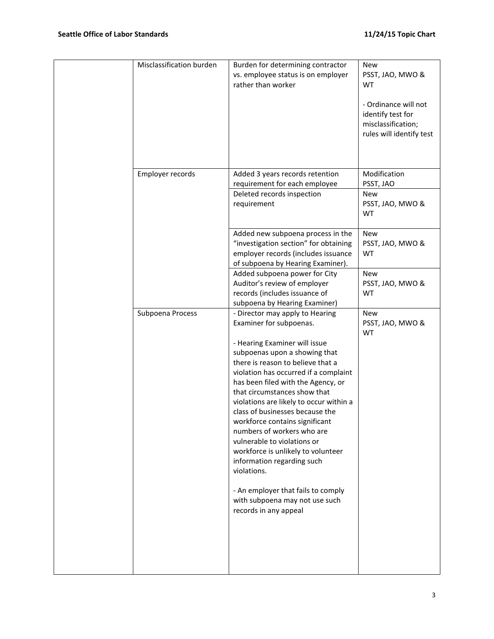| Misclassification burden | Burden for determining contractor                                                                                                                                                                                                                                                                                                                                                                                                                                                  | <b>New</b>                                                                                  |
|--------------------------|------------------------------------------------------------------------------------------------------------------------------------------------------------------------------------------------------------------------------------------------------------------------------------------------------------------------------------------------------------------------------------------------------------------------------------------------------------------------------------|---------------------------------------------------------------------------------------------|
|                          | vs. employee status is on employer<br>rather than worker                                                                                                                                                                                                                                                                                                                                                                                                                           | PSST, JAO, MWO &<br><b>WT</b>                                                               |
|                          |                                                                                                                                                                                                                                                                                                                                                                                                                                                                                    | - Ordinance will not<br>identify test for<br>misclassification;<br>rules will identify test |
| Employer records         | Added 3 years records retention                                                                                                                                                                                                                                                                                                                                                                                                                                                    | Modification                                                                                |
|                          | requirement for each employee                                                                                                                                                                                                                                                                                                                                                                                                                                                      | PSST, JAO                                                                                   |
|                          | Deleted records inspection<br>requirement                                                                                                                                                                                                                                                                                                                                                                                                                                          | New<br>PSST, JAO, MWO &<br><b>WT</b>                                                        |
|                          | Added new subpoena process in the<br>"investigation section" for obtaining<br>employer records (includes issuance<br>of subpoena by Hearing Examiner).                                                                                                                                                                                                                                                                                                                             | <b>New</b><br>PSST, JAO, MWO &<br>WT                                                        |
|                          | Added subpoena power for City<br>Auditor's review of employer<br>records (includes issuance of<br>subpoena by Hearing Examiner)                                                                                                                                                                                                                                                                                                                                                    | <b>New</b><br>PSST, JAO, MWO &<br><b>WT</b>                                                 |
| Subpoena Process         | - Director may apply to Hearing<br>Examiner for subpoenas.                                                                                                                                                                                                                                                                                                                                                                                                                         | <b>New</b><br>PSST, JAO, MWO &<br><b>WT</b>                                                 |
|                          | - Hearing Examiner will issue<br>subpoenas upon a showing that<br>there is reason to believe that a<br>violation has occurred if a complaint<br>has been filed with the Agency, or<br>that circumstances show that<br>violations are likely to occur within a<br>class of businesses because the<br>workforce contains significant<br>numbers of workers who are<br>vulnerable to violations or<br>workforce is unlikely to volunteer<br>information regarding such<br>violations. |                                                                                             |
|                          | - An employer that fails to comply<br>with subpoena may not use such<br>records in any appeal                                                                                                                                                                                                                                                                                                                                                                                      |                                                                                             |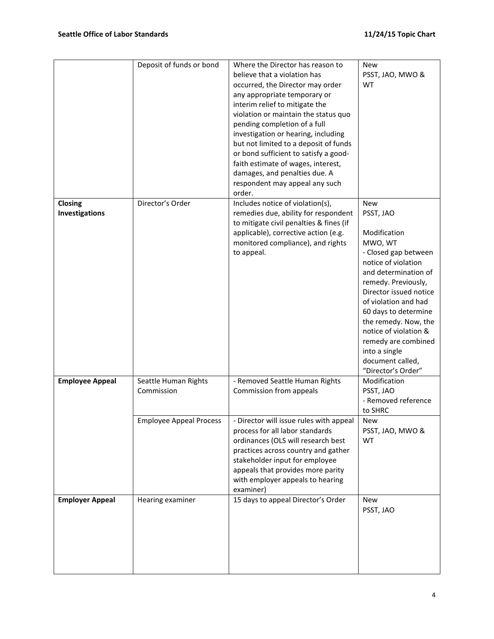|                           | Deposit of funds or bond           | Where the Director has reason to<br>believe that a violation has<br>occurred, the Director may order<br>any appropriate temporary or<br>interim relief to mitigate the<br>violation or maintain the status quo<br>pending completion of a full<br>investigation or hearing, including<br>but not limited to a deposit of funds<br>or bond sufficient to satisfy a good-<br>faith estimate of wages, interest,<br>damages, and penalties due. A<br>respondent may appeal any such<br>order. | <b>New</b><br>PSST, JAO, MWO &<br><b>WT</b>                                                                                                                                                                                                                                                                                                                   |
|---------------------------|------------------------------------|--------------------------------------------------------------------------------------------------------------------------------------------------------------------------------------------------------------------------------------------------------------------------------------------------------------------------------------------------------------------------------------------------------------------------------------------------------------------------------------------|---------------------------------------------------------------------------------------------------------------------------------------------------------------------------------------------------------------------------------------------------------------------------------------------------------------------------------------------------------------|
| Closing<br>Investigations | Director's Order                   | Includes notice of violation(s),<br>remedies due, ability for respondent<br>to mitigate civil penalties & fines (if<br>applicable), corrective action (e.g.<br>monitored compliance), and rights<br>to appeal.                                                                                                                                                                                                                                                                             | <b>New</b><br>PSST, JAO<br>Modification<br>MWO, WT<br>- Closed gap between<br>notice of violation<br>and determination of<br>remedy. Previously,<br>Director issued notice<br>of violation and had<br>60 days to determine<br>the remedy. Now, the<br>notice of violation &<br>remedy are combined<br>into a single<br>document called,<br>"Director's Order" |
| <b>Employee Appeal</b>    | Seattle Human Rights<br>Commission | - Removed Seattle Human Rights<br>Commission from appeals                                                                                                                                                                                                                                                                                                                                                                                                                                  | Modification<br>PSST, JAO<br>- Removed reference<br>to SHRC                                                                                                                                                                                                                                                                                                   |
|                           | <b>Employee Appeal Process</b>     | - Director will issue rules with appeal<br>process for all labor standards<br>ordinances (OLS will research best<br>practices across country and gather<br>stakeholder input for employee<br>appeals that provides more parity<br>with employer appeals to hearing<br>examiner)                                                                                                                                                                                                            | New<br>PSST, JAO, MWO &<br><b>WT</b>                                                                                                                                                                                                                                                                                                                          |
| <b>Employer Appeal</b>    | Hearing examiner                   | 15 days to appeal Director's Order                                                                                                                                                                                                                                                                                                                                                                                                                                                         | <b>New</b><br>PSST, JAO                                                                                                                                                                                                                                                                                                                                       |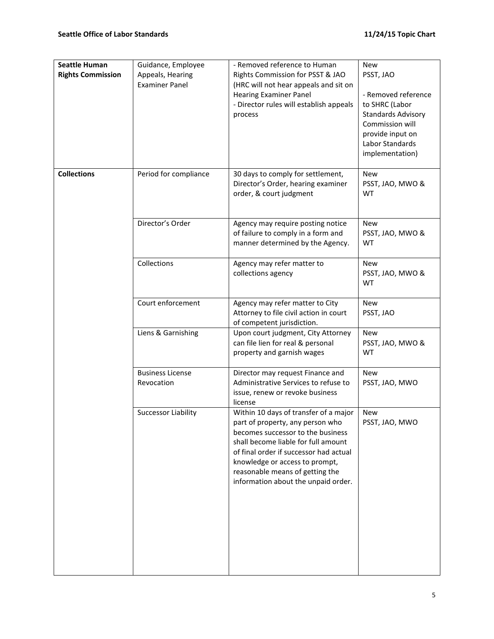| <b>Seattle Human</b><br><b>Rights Commission</b> | Guidance, Employee<br>Appeals, Hearing<br><b>Examiner Panel</b> | - Removed reference to Human<br>Rights Commission for PSST & JAO<br>(HRC will not hear appeals and sit on<br><b>Hearing Examiner Panel</b><br>- Director rules will establish appeals<br>process                                                                                                            | <b>New</b><br>PSST, JAO<br>- Removed reference<br>to SHRC (Labor<br><b>Standards Advisory</b><br>Commission will<br>provide input on<br>Labor Standards<br>implementation) |
|--------------------------------------------------|-----------------------------------------------------------------|-------------------------------------------------------------------------------------------------------------------------------------------------------------------------------------------------------------------------------------------------------------------------------------------------------------|----------------------------------------------------------------------------------------------------------------------------------------------------------------------------|
| <b>Collections</b>                               | Period for compliance                                           | 30 days to comply for settlement,<br>Director's Order, hearing examiner<br>order, & court judgment                                                                                                                                                                                                          | <b>New</b><br>PSST, JAO, MWO &<br>WT                                                                                                                                       |
|                                                  | Director's Order                                                | Agency may require posting notice<br>of failure to comply in a form and<br>manner determined by the Agency.                                                                                                                                                                                                 | <b>New</b><br>PSST, JAO, MWO &<br>WT                                                                                                                                       |
|                                                  | Collections                                                     | Agency may refer matter to<br>collections agency                                                                                                                                                                                                                                                            | New<br>PSST, JAO, MWO &<br>WT                                                                                                                                              |
|                                                  | Court enforcement                                               | Agency may refer matter to City<br>Attorney to file civil action in court<br>of competent jurisdiction.                                                                                                                                                                                                     | <b>New</b><br>PSST, JAO                                                                                                                                                    |
|                                                  | Liens & Garnishing                                              | Upon court judgment, City Attorney<br>can file lien for real & personal<br>property and garnish wages                                                                                                                                                                                                       | <b>New</b><br>PSST, JAO, MWO &<br><b>WT</b>                                                                                                                                |
|                                                  | <b>Business License</b><br>Revocation                           | Director may request Finance and<br>Administrative Services to refuse to<br>issue, renew or revoke business<br>license                                                                                                                                                                                      | <b>New</b><br>PSST, JAO, MWO                                                                                                                                               |
|                                                  | <b>Successor Liability</b>                                      | Within 10 days of transfer of a major<br>part of property, any person who<br>becomes successor to the business<br>shall become liable for full amount<br>of final order if successor had actual<br>knowledge or access to prompt,<br>reasonable means of getting the<br>information about the unpaid order. | <b>New</b><br>PSST, JAO, MWO                                                                                                                                               |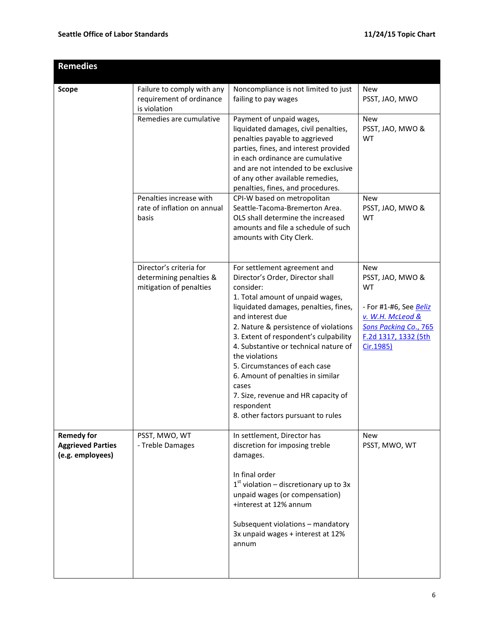| <b>Remedies</b>                                                   |                                                                               |                                                                                                                                                                                                                                                                                                                                                                                                                                                                                                       |                                                                                                                                                         |
|-------------------------------------------------------------------|-------------------------------------------------------------------------------|-------------------------------------------------------------------------------------------------------------------------------------------------------------------------------------------------------------------------------------------------------------------------------------------------------------------------------------------------------------------------------------------------------------------------------------------------------------------------------------------------------|---------------------------------------------------------------------------------------------------------------------------------------------------------|
| <b>Scope</b>                                                      | Failure to comply with any<br>requirement of ordinance<br>is violation        | Noncompliance is not limited to just<br>failing to pay wages                                                                                                                                                                                                                                                                                                                                                                                                                                          | <b>New</b><br>PSST, JAO, MWO                                                                                                                            |
|                                                                   | Remedies are cumulative                                                       | Payment of unpaid wages,<br>liquidated damages, civil penalties,<br>penalties payable to aggrieved<br>parties, fines, and interest provided<br>in each ordinance are cumulative<br>and are not intended to be exclusive<br>of any other available remedies,<br>penalties, fines, and procedures.                                                                                                                                                                                                      | <b>New</b><br>PSST, JAO, MWO &<br><b>WT</b>                                                                                                             |
|                                                                   | Penalties increase with<br>rate of inflation on annual<br>basis               | CPI-W based on metropolitan<br>Seattle-Tacoma-Bremerton Area.<br>OLS shall determine the increased<br>amounts and file a schedule of such<br>amounts with City Clerk.                                                                                                                                                                                                                                                                                                                                 | <b>New</b><br>PSST, JAO, MWO &<br>WT                                                                                                                    |
|                                                                   | Director's criteria for<br>determining penalties &<br>mitigation of penalties | For settlement agreement and<br>Director's Order, Director shall<br>consider:<br>1. Total amount of unpaid wages,<br>liquidated damages, penalties, fines,<br>and interest due<br>2. Nature & persistence of violations<br>3. Extent of respondent's culpability<br>4. Substantive or technical nature of<br>the violations<br>5. Circumstances of each case<br>6. Amount of penalties in similar<br>cases<br>7. Size, revenue and HR capacity of<br>respondent<br>8. other factors pursuant to rules | <b>New</b><br>PSST, JAO, MWO &<br>WT<br>- For #1-#6, See <u>Beliz</u><br>v. W.H. McLeod &<br>Sons Packing Co., 765<br>F.2d 1317, 1332 (5th<br>Cir.1985) |
| <b>Remedy for</b><br><b>Aggrieved Parties</b><br>(e.g. employees) | PSST, MWO, WT<br>- Treble Damages                                             | In settlement, Director has<br>discretion for imposing treble<br>damages.<br>In final order<br>$1st$ violation – discretionary up to 3x<br>unpaid wages (or compensation)<br>+interest at 12% annum<br>Subsequent violations - mandatory<br>3x unpaid wages + interest at 12%<br>annum                                                                                                                                                                                                                | <b>New</b><br>PSST, MWO, WT                                                                                                                             |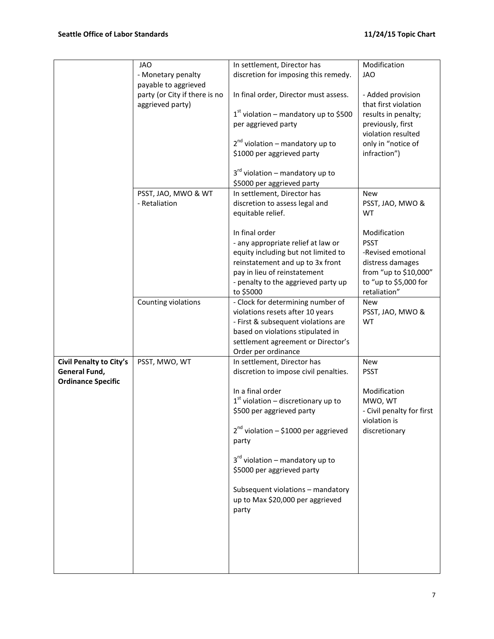|                           | <b>JAO</b>                    | In settlement, Director has               | Modification              |
|---------------------------|-------------------------------|-------------------------------------------|---------------------------|
|                           |                               |                                           | <b>JAO</b>                |
|                           | - Monetary penalty            | discretion for imposing this remedy.      |                           |
|                           | payable to aggrieved          |                                           |                           |
|                           | party (or City if there is no | In final order, Director must assess.     | - Added provision         |
|                           | aggrieved party)              |                                           | that first violation      |
|                           |                               | $1st$ violation – mandatory up to \$500   | results in penalty;       |
|                           |                               | per aggrieved party                       | previously, first         |
|                           |                               |                                           | violation resulted        |
|                           |                               | $2^{nd}$ violation – mandatory up to      | only in "notice of        |
|                           |                               | \$1000 per aggrieved party                | infraction")              |
|                           |                               |                                           |                           |
|                           |                               | $3rd$ violation – mandatory up to         |                           |
|                           |                               | \$5000 per aggrieved party                |                           |
|                           | PSST, JAO, MWO & WT           | In settlement, Director has               | <b>New</b>                |
|                           | - Retaliation                 | discretion to assess legal and            | PSST, JAO, MWO &          |
|                           |                               | equitable relief.                         | <b>WT</b>                 |
|                           |                               |                                           |                           |
|                           |                               | In final order                            | Modification              |
|                           |                               | - any appropriate relief at law or        | <b>PSST</b>               |
|                           |                               | equity including but not limited to       | -Revised emotional        |
|                           |                               | reinstatement and up to 3x front          | distress damages          |
|                           |                               | pay in lieu of reinstatement              | from "up to \$10,000"     |
|                           |                               | - penalty to the aggrieved party up       | to "up to \$5,000 for     |
|                           |                               | to \$5000                                 | retaliation"              |
|                           | Counting violations           | - Clock for determining number of         | <b>New</b>                |
|                           |                               | violations resets after 10 years          | PSST, JAO, MWO &          |
|                           |                               | - First & subsequent violations are       | WT                        |
|                           |                               | based on violations stipulated in         |                           |
|                           |                               | settlement agreement or Director's        |                           |
|                           |                               | Order per ordinance                       |                           |
| Civil Penalty to City's   | PSST, MWO, WT                 | In settlement, Director has               | New                       |
| General Fund,             |                               | discretion to impose civil penalties.     | <b>PSST</b>               |
| <b>Ordinance Specific</b> |                               |                                           |                           |
|                           |                               | In a final order                          | Modification              |
|                           |                               | $1st$ violation – discretionary up to     | MWO, WT                   |
|                           |                               | \$500 per aggrieved party                 | - Civil penalty for first |
|                           |                               |                                           | violation is              |
|                           |                               | $2^{nd}$ violation – \$1000 per aggrieved | discretionary             |
|                           |                               | party                                     |                           |
|                           |                               |                                           |                           |
|                           |                               | $3rd$ violation – mandatory up to         |                           |
|                           |                               | \$5000 per aggrieved party                |                           |
|                           |                               |                                           |                           |
|                           |                               | Subsequent violations - mandatory         |                           |
|                           |                               | up to Max \$20,000 per aggrieved          |                           |
|                           |                               | party                                     |                           |
|                           |                               |                                           |                           |
|                           |                               |                                           |                           |
|                           |                               |                                           |                           |
|                           |                               |                                           |                           |
|                           |                               |                                           |                           |
|                           |                               |                                           |                           |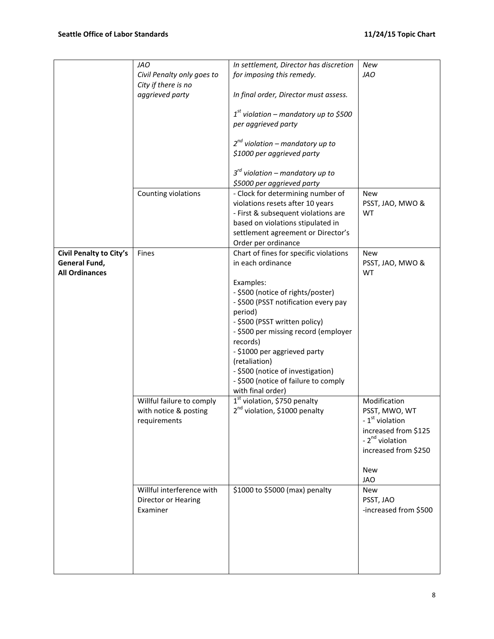|                                                                   | <b>JAO</b><br>Civil Penalty only goes to<br>City if there is no<br>aggrieved party | In settlement, Director has discretion<br>for imposing this remedy.<br>In final order, Director must assess.<br>$1st$ violation – mandatory up to \$500<br>per aggrieved party<br>$2^{nd}$ violation – mandatory up to<br>\$1000 per aggrieved party<br>$3^{rd}$ violation – mandatory up to                                                                                                             | New<br><b>JAO</b>                                                                                                                                             |
|-------------------------------------------------------------------|------------------------------------------------------------------------------------|----------------------------------------------------------------------------------------------------------------------------------------------------------------------------------------------------------------------------------------------------------------------------------------------------------------------------------------------------------------------------------------------------------|---------------------------------------------------------------------------------------------------------------------------------------------------------------|
|                                                                   | Counting violations                                                                | \$5000 per aggrieved party<br>- Clock for determining number of<br>violations resets after 10 years<br>- First & subsequent violations are<br>based on violations stipulated in<br>settlement agreement or Director's<br>Order per ordinance                                                                                                                                                             | New<br>PSST, JAO, MWO &<br>WT                                                                                                                                 |
| Civil Penalty to City's<br>General Fund,<br><b>All Ordinances</b> | Fines                                                                              | Chart of fines for specific violations<br>in each ordinance<br>Examples:<br>- \$500 (notice of rights/poster)<br>- \$500 (PSST notification every pay<br>period)<br>- \$500 (PSST written policy)<br>- \$500 per missing record (employer<br>records)<br>- \$1000 per aggrieved party<br>(retaliation)<br>- \$500 (notice of investigation)<br>- \$500 (notice of failure to comply<br>with final order) | <b>New</b><br>PSST, JAO, MWO &<br><b>WT</b>                                                                                                                   |
|                                                                   | Willful failure to comply<br>with notice & posting<br>requirements                 | $1st$ violation, \$750 penalty<br>2 <sup>nd</sup> violation, \$1000 penalty                                                                                                                                                                                                                                                                                                                              | Modification<br>PSST, MWO, WT<br>- $1st$ violation<br>increased from \$125<br>- 2 <sup>nd</sup> violation<br>increased from \$250<br><b>New</b><br><b>JAO</b> |
|                                                                   | Willful interference with<br>Director or Hearing<br>Examiner                       | \$1000 to \$5000 (max) penalty                                                                                                                                                                                                                                                                                                                                                                           | <b>New</b><br>PSST, JAO<br>-increased from \$500                                                                                                              |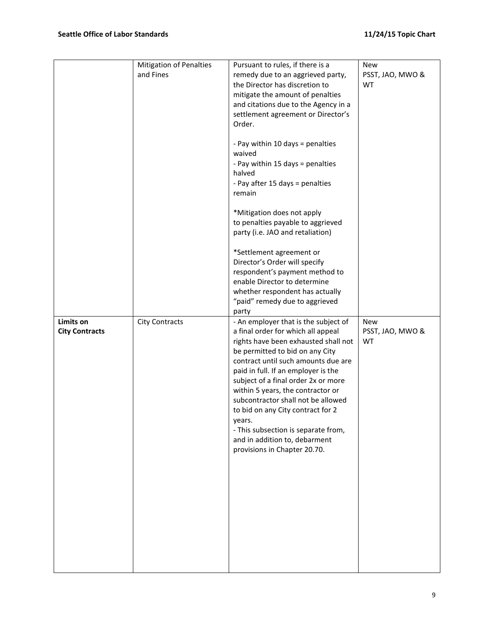|                                    | Mitigation of Penalties<br>and Fines | Pursuant to rules, if there is a<br>remedy due to an aggrieved party,<br>the Director has discretion to<br>mitigate the amount of penalties<br>and citations due to the Agency in a<br>settlement agreement or Director's<br>Order.<br>- Pay within 10 days = penalties<br>waived<br>- Pay within 15 days = penalties<br>halved<br>- Pay after 15 days = penalties<br>remain<br>*Mitigation does not apply<br>to penalties payable to aggrieved<br>party (i.e. JAO and retaliation)<br>*Settlement agreement or<br>Director's Order will specify<br>respondent's payment method to<br>enable Director to determine<br>whether respondent has actually<br>"paid" remedy due to aggrieved | New<br>PSST, JAO, MWO &<br>WT        |
|------------------------------------|--------------------------------------|-----------------------------------------------------------------------------------------------------------------------------------------------------------------------------------------------------------------------------------------------------------------------------------------------------------------------------------------------------------------------------------------------------------------------------------------------------------------------------------------------------------------------------------------------------------------------------------------------------------------------------------------------------------------------------------------|--------------------------------------|
| Limits on<br><b>City Contracts</b> | <b>City Contracts</b>                | party<br>- An employer that is the subject of<br>a final order for which all appeal<br>rights have been exhausted shall not<br>be permitted to bid on any City<br>contract until such amounts due are<br>paid in full. If an employer is the<br>subject of a final order 2x or more<br>within 5 years, the contractor or<br>subcontractor shall not be allowed<br>to bid on any City contract for 2<br>years.<br>- This subsection is separate from,<br>and in addition to, debarment<br>provisions in Chapter 20.70.                                                                                                                                                                   | <b>New</b><br>PSST, JAO, MWO &<br>WT |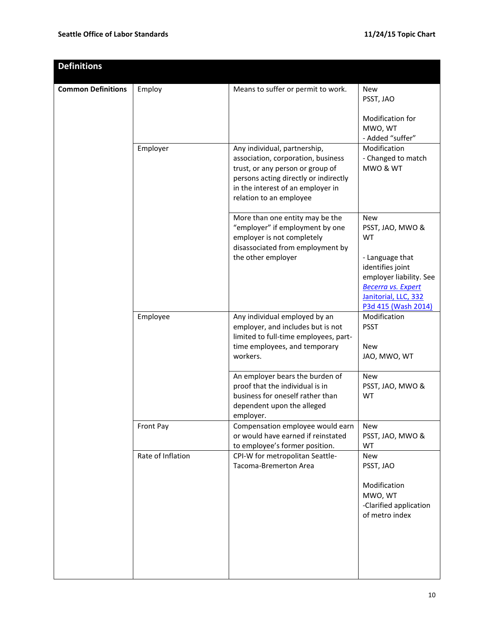| <b>Definitions</b>        |                   |                                                                                                                                                                                                                 |                                                                                                                                                                                           |
|---------------------------|-------------------|-----------------------------------------------------------------------------------------------------------------------------------------------------------------------------------------------------------------|-------------------------------------------------------------------------------------------------------------------------------------------------------------------------------------------|
| <b>Common Definitions</b> | Employ            | Means to suffer or permit to work.                                                                                                                                                                              | <b>New</b><br>PSST, JAO<br><b>Modification for</b><br>MWO, WT<br>- Added "suffer"                                                                                                         |
|                           | Employer          | Any individual, partnership,<br>association, corporation, business<br>trust, or any person or group of<br>persons acting directly or indirectly<br>in the interest of an employer in<br>relation to an employee | Modification<br>- Changed to match<br>MWO & WT                                                                                                                                            |
|                           |                   | More than one entity may be the<br>"employer" if employment by one<br>employer is not completely<br>disassociated from employment by<br>the other employer                                                      | <b>New</b><br>PSST, JAO, MWO &<br><b>WT</b><br>- Language that<br>identifies joint<br>employer liability. See<br><b>Becerra vs. Expert</b><br>Janitorial, LLC, 332<br>P3d 415 (Wash 2014) |
|                           | Employee          | Any individual employed by an<br>employer, and includes but is not<br>limited to full-time employees, part-<br>time employees, and temporary<br>workers.                                                        | Modification<br><b>PSST</b><br><b>New</b><br>JAO, MWO, WT                                                                                                                                 |
|                           |                   | An employer bears the burden of<br>proof that the individual is in<br>business for oneself rather than<br>dependent upon the alleged<br>employer.                                                               | <b>New</b><br>PSST, JAO, MWO &<br><b>WT</b>                                                                                                                                               |
|                           | Front Pay         | Compensation employee would earn<br>or would have earned if reinstated<br>to employee's former position.                                                                                                        | New<br>PSST, JAO, MWO &<br>WT                                                                                                                                                             |
|                           | Rate of Inflation | CPI-W for metropolitan Seattle-<br>Tacoma-Bremerton Area                                                                                                                                                        | New<br>PSST, JAO<br>Modification<br>MWO, WT<br>-Clarified application<br>of metro index                                                                                                   |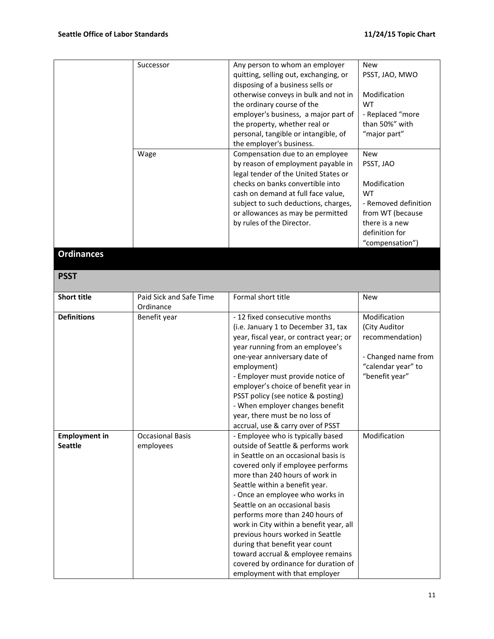|                                        | Successor<br>Wage                    | Any person to whom an employer<br>quitting, selling out, exchanging, or<br>disposing of a business sells or<br>otherwise conveys in bulk and not in<br>the ordinary course of the<br>employer's business, a major part of<br>the property, whether real or<br>personal, tangible or intangible, of<br>the employer's business.<br>Compensation due to an employee<br>by reason of employment payable in<br>legal tender of the United States or<br>checks on banks convertible into<br>cash on demand at full face value,<br>subject to such deductions, charges,<br>or allowances as may be permitted<br>by rules of the Director. | <b>New</b><br>PSST, JAO, MWO<br>Modification<br>WT<br>- Replaced "more<br>than 50%" with<br>"major part"<br><b>New</b><br>PSST, JAO<br>Modification<br><b>WT</b><br>- Removed definition<br>from WT (because<br>there is a new<br>definition for<br>"compensation") |
|----------------------------------------|--------------------------------------|-------------------------------------------------------------------------------------------------------------------------------------------------------------------------------------------------------------------------------------------------------------------------------------------------------------------------------------------------------------------------------------------------------------------------------------------------------------------------------------------------------------------------------------------------------------------------------------------------------------------------------------|---------------------------------------------------------------------------------------------------------------------------------------------------------------------------------------------------------------------------------------------------------------------|
| <b>Ordinances</b>                      |                                      |                                                                                                                                                                                                                                                                                                                                                                                                                                                                                                                                                                                                                                     |                                                                                                                                                                                                                                                                     |
|                                        |                                      |                                                                                                                                                                                                                                                                                                                                                                                                                                                                                                                                                                                                                                     |                                                                                                                                                                                                                                                                     |
| <b>PSST</b>                            |                                      |                                                                                                                                                                                                                                                                                                                                                                                                                                                                                                                                                                                                                                     |                                                                                                                                                                                                                                                                     |
| <b>Short title</b>                     | Paid Sick and Safe Time<br>Ordinance | Formal short title                                                                                                                                                                                                                                                                                                                                                                                                                                                                                                                                                                                                                  | <b>New</b>                                                                                                                                                                                                                                                          |
| <b>Definitions</b>                     | Benefit year                         | - 12 fixed consecutive months<br>(i.e. January 1 to December 31, tax<br>year, fiscal year, or contract year; or<br>year running from an employee's<br>one-year anniversary date of<br>employment)<br>- Employer must provide notice of<br>employer's choice of benefit year in<br>PSST policy (see notice & posting)<br>- When employer changes benefit<br>year, there must be no loss of<br>accrual, use & carry over of PSST                                                                                                                                                                                                      | Modification<br>(City Auditor<br>recommendation)<br>- Changed name from<br>"calendar year" to<br>"benefit year"                                                                                                                                                     |
| <b>Employment in</b><br><b>Seattle</b> | <b>Occasional Basis</b><br>employees | - Employee who is typically based<br>outside of Seattle & performs work<br>in Seattle on an occasional basis is<br>covered only if employee performs<br>more than 240 hours of work in<br>Seattle within a benefit year.<br>- Once an employee who works in<br>Seattle on an occasional basis<br>performs more than 240 hours of<br>work in City within a benefit year, all<br>previous hours worked in Seattle<br>during that benefit year count<br>toward accrual & employee remains<br>covered by ordinance for duration of<br>employment with that employer                                                                     | Modification                                                                                                                                                                                                                                                        |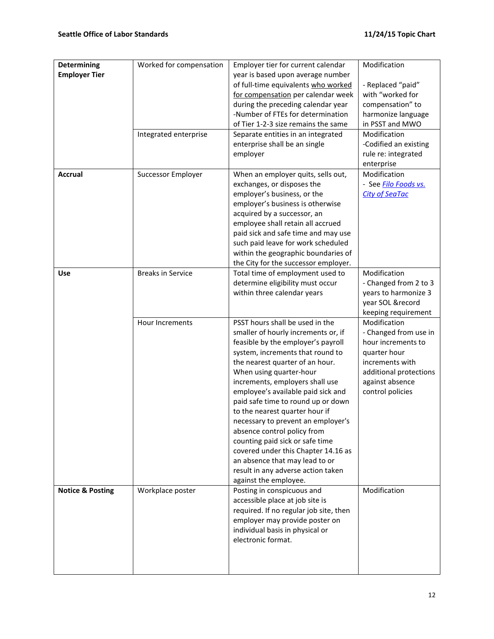| <b>Determining</b><br><b>Employer Tier</b> | Worked for compensation  | Employer tier for current calendar<br>year is based upon average number   | Modification                          |
|--------------------------------------------|--------------------------|---------------------------------------------------------------------------|---------------------------------------|
|                                            |                          | of full-time equivalents who worked<br>for compensation per calendar week | - Replaced "paid"<br>with "worked for |
|                                            |                          | during the preceding calendar year                                        | compensation" to                      |
|                                            |                          | -Number of FTEs for determination                                         |                                       |
|                                            |                          |                                                                           | harmonize language                    |
|                                            |                          | of Tier 1-2-3 size remains the same                                       | in PSST and MWO                       |
|                                            | Integrated enterprise    | Separate entities in an integrated                                        | Modification                          |
|                                            |                          | enterprise shall be an single                                             | -Codified an existing                 |
|                                            |                          | employer                                                                  | rule re: integrated                   |
|                                            |                          |                                                                           | enterprise                            |
| Accrual                                    | Successor Employer       | When an employer quits, sells out,                                        | Modification                          |
|                                            |                          | exchanges, or disposes the                                                | - See Filo Foods vs.                  |
|                                            |                          | employer's business, or the                                               | <b>City of SeaTac</b>                 |
|                                            |                          | employer's business is otherwise                                          |                                       |
|                                            |                          | acquired by a successor, an                                               |                                       |
|                                            |                          | employee shall retain all accrued                                         |                                       |
|                                            |                          | paid sick and safe time and may use                                       |                                       |
|                                            |                          | such paid leave for work scheduled                                        |                                       |
|                                            |                          | within the geographic boundaries of                                       |                                       |
|                                            |                          | the City for the successor employer.                                      |                                       |
| <b>Use</b>                                 | <b>Breaks in Service</b> | Total time of employment used to                                          | Modification                          |
|                                            |                          | determine eligibility must occur                                          | - Changed from 2 to 3                 |
|                                            |                          | within three calendar years                                               | years to harmonize 3                  |
|                                            |                          |                                                                           | year SOL &record                      |
|                                            |                          |                                                                           | keeping requirement                   |
|                                            | Hour Increments          | PSST hours shall be used in the                                           | Modification                          |
|                                            |                          | smaller of hourly increments or, if                                       | - Changed from use in                 |
|                                            |                          | feasible by the employer's payroll                                        | hour increments to                    |
|                                            |                          | system, increments that round to                                          | quarter hour                          |
|                                            |                          | the nearest quarter of an hour.                                           | increments with                       |
|                                            |                          | When using quarter-hour                                                   | additional protections                |
|                                            |                          | increments, employers shall use                                           | against absence                       |
|                                            |                          | employee's available paid sick and                                        | control policies                      |
|                                            |                          | paid safe time to round up or down                                        |                                       |
|                                            |                          | to the nearest quarter hour if                                            |                                       |
|                                            |                          | necessary to prevent an employer's                                        |                                       |
|                                            |                          | absence control policy from                                               |                                       |
|                                            |                          | counting paid sick or safe time                                           |                                       |
|                                            |                          | covered under this Chapter 14.16 as                                       |                                       |
|                                            |                          | an absence that may lead to or                                            |                                       |
|                                            |                          | result in any adverse action taken                                        |                                       |
|                                            |                          | against the employee.                                                     |                                       |
| <b>Notice &amp; Posting</b>                | Workplace poster         | Posting in conspicuous and                                                | Modification                          |
|                                            |                          | accessible place at job site is                                           |                                       |
|                                            |                          | required. If no regular job site, then                                    |                                       |
|                                            |                          | employer may provide poster on                                            |                                       |
|                                            |                          | individual basis in physical or                                           |                                       |
|                                            |                          | electronic format.                                                        |                                       |
|                                            |                          |                                                                           |                                       |
|                                            |                          |                                                                           |                                       |
|                                            |                          |                                                                           |                                       |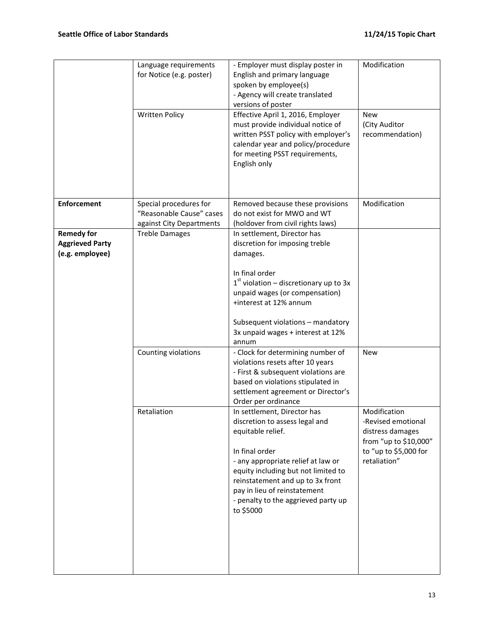|                                                                | Language requirements<br>for Notice (e.g. poster)<br><b>Written Policy</b>     | - Employer must display poster in<br>English and primary language<br>spoken by employee(s)<br>- Agency will create translated<br>versions of poster<br>Effective April 1, 2016, Employer<br>must provide individual notice of<br>written PSST policy with employer's<br>calendar year and policy/procedure<br>for meeting PSST requirements,<br>English only                                                                                                                                                                | Modification<br><b>New</b><br>(City Auditor<br>recommendation)                                                                         |
|----------------------------------------------------------------|--------------------------------------------------------------------------------|-----------------------------------------------------------------------------------------------------------------------------------------------------------------------------------------------------------------------------------------------------------------------------------------------------------------------------------------------------------------------------------------------------------------------------------------------------------------------------------------------------------------------------|----------------------------------------------------------------------------------------------------------------------------------------|
| <b>Enforcement</b>                                             | Special procedures for<br>"Reasonable Cause" cases<br>against City Departments | Removed because these provisions<br>do not exist for MWO and WT<br>(holdover from civil rights laws)                                                                                                                                                                                                                                                                                                                                                                                                                        | Modification                                                                                                                           |
| <b>Remedy for</b><br><b>Aggrieved Party</b><br>(e.g. employee) | <b>Treble Damages</b>                                                          | In settlement, Director has<br>discretion for imposing treble<br>damages.<br>In final order<br>$1st$ violation – discretionary up to 3x<br>unpaid wages (or compensation)<br>+interest at 12% annum<br>Subsequent violations - mandatory<br>3x unpaid wages + interest at 12%<br>annum                                                                                                                                                                                                                                      |                                                                                                                                        |
|                                                                | Counting violations<br>Retaliation                                             | - Clock for determining number of<br>violations resets after 10 years<br>- First & subsequent violations are<br>based on violations stipulated in<br>settlement agreement or Director's<br>Order per ordinance<br>In settlement, Director has<br>discretion to assess legal and<br>equitable relief.<br>In final order<br>- any appropriate relief at law or<br>equity including but not limited to<br>reinstatement and up to 3x front<br>pay in lieu of reinstatement<br>- penalty to the aggrieved party up<br>to \$5000 | <b>New</b><br>Modification<br>-Revised emotional<br>distress damages<br>from "up to \$10,000"<br>to "up to \$5,000 for<br>retaliation" |
|                                                                |                                                                                |                                                                                                                                                                                                                                                                                                                                                                                                                                                                                                                             |                                                                                                                                        |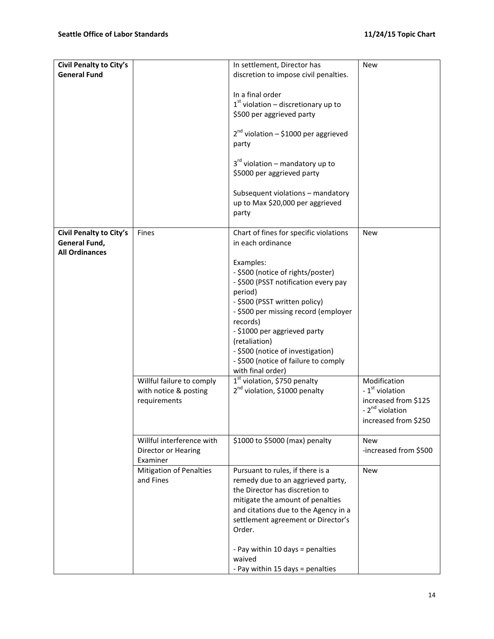| Civil Penalty to City's                                           |                                                              | In settlement, Director has                                                                                                                                                                                                                                                                                                                                                 | <b>New</b>                                                                                                 |
|-------------------------------------------------------------------|--------------------------------------------------------------|-----------------------------------------------------------------------------------------------------------------------------------------------------------------------------------------------------------------------------------------------------------------------------------------------------------------------------------------------------------------------------|------------------------------------------------------------------------------------------------------------|
| <b>General Fund</b>                                               |                                                              | discretion to impose civil penalties.                                                                                                                                                                                                                                                                                                                                       |                                                                                                            |
|                                                                   |                                                              | In a final order<br>$1st$ violation – discretionary up to<br>\$500 per aggrieved party                                                                                                                                                                                                                                                                                      |                                                                                                            |
|                                                                   |                                                              | $2^{nd}$ violation – \$1000 per aggrieved<br>party                                                                                                                                                                                                                                                                                                                          |                                                                                                            |
|                                                                   |                                                              | $3rd$ violation – mandatory up to<br>\$5000 per aggrieved party                                                                                                                                                                                                                                                                                                             |                                                                                                            |
|                                                                   |                                                              | Subsequent violations - mandatory<br>up to Max \$20,000 per aggrieved<br>party                                                                                                                                                                                                                                                                                              |                                                                                                            |
| Civil Penalty to City's<br>General Fund,<br><b>All Ordinances</b> | Fines                                                        | Chart of fines for specific violations<br>in each ordinance                                                                                                                                                                                                                                                                                                                 | <b>New</b>                                                                                                 |
|                                                                   | Willful failure to comply                                    | Examples:<br>- \$500 (notice of rights/poster)<br>- \$500 (PSST notification every pay<br>period)<br>- \$500 (PSST written policy)<br>- \$500 per missing record (employer<br>records)<br>- \$1000 per aggrieved party<br>(retaliation)<br>- \$500 (notice of investigation)<br>- \$500 (notice of failure to comply<br>with final order)<br>$1st$ violation, \$750 penalty | Modification                                                                                               |
|                                                                   | with notice & posting<br>requirements                        | 2 <sup>nd</sup> violation, \$1000 penalty                                                                                                                                                                                                                                                                                                                                   | - 1 <sup>st</sup> violation<br>increased from \$125<br>- 2 <sup>nd</sup> violation<br>increased from \$250 |
|                                                                   | Willful interference with<br>Director or Hearing<br>Examiner | \$1000 to \$5000 (max) penalty                                                                                                                                                                                                                                                                                                                                              | <b>New</b><br>-increased from \$500                                                                        |
|                                                                   | <b>Mitigation of Penalties</b><br>and Fines                  | Pursuant to rules, if there is a<br>remedy due to an aggrieved party,<br>the Director has discretion to<br>mitigate the amount of penalties<br>and citations due to the Agency in a<br>settlement agreement or Director's<br>Order.<br>- Pay within 10 days = penalties                                                                                                     | New                                                                                                        |
|                                                                   |                                                              | waived<br>- Pay within 15 days = penalties                                                                                                                                                                                                                                                                                                                                  |                                                                                                            |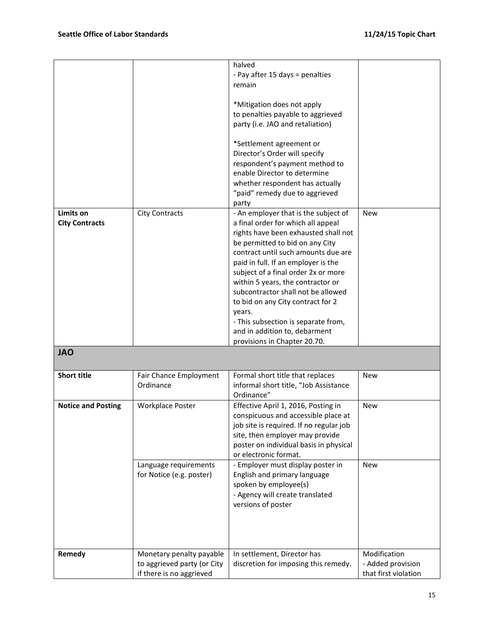|                                    |                                                                                     | halved<br>- Pay after 15 days = penalties<br>remain<br>*Mitigation does not apply<br>to penalties payable to aggrieved<br>party (i.e. JAO and retaliation)<br>*Settlement agreement or<br>Director's Order will specify<br>respondent's payment method to<br>enable Director to determine<br>whether respondent has actually<br>"paid" remedy due to aggrieved                                                                                                                                                        |                                                           |
|------------------------------------|-------------------------------------------------------------------------------------|-----------------------------------------------------------------------------------------------------------------------------------------------------------------------------------------------------------------------------------------------------------------------------------------------------------------------------------------------------------------------------------------------------------------------------------------------------------------------------------------------------------------------|-----------------------------------------------------------|
|                                    |                                                                                     |                                                                                                                                                                                                                                                                                                                                                                                                                                                                                                                       |                                                           |
| Limits on<br><b>City Contracts</b> | <b>City Contracts</b>                                                               | party<br>- An employer that is the subject of<br>a final order for which all appeal<br>rights have been exhausted shall not<br>be permitted to bid on any City<br>contract until such amounts due are<br>paid in full. If an employer is the<br>subject of a final order 2x or more<br>within 5 years, the contractor or<br>subcontractor shall not be allowed<br>to bid on any City contract for 2<br>years.<br>- This subsection is separate from,<br>and in addition to, debarment<br>provisions in Chapter 20.70. | <b>New</b>                                                |
| <b>JAO</b>                         |                                                                                     |                                                                                                                                                                                                                                                                                                                                                                                                                                                                                                                       |                                                           |
| <b>Short title</b>                 | Fair Chance Employment<br>Ordinance                                                 | Formal short title that replaces<br>informal short title, "Job Assistance<br>Ordinance"                                                                                                                                                                                                                                                                                                                                                                                                                               | New                                                       |
| <b>Notice and Posting</b>          | Workplace Poster                                                                    | Effective April 1, 2016, Posting in<br>conspicuous and accessible place at<br>job site is required. If no regular job<br>site, then employer may provide<br>poster on individual basis in physical<br>or electronic format.                                                                                                                                                                                                                                                                                           | <b>New</b>                                                |
|                                    | Language requirements<br>for Notice (e.g. poster)                                   | - Employer must display poster in<br>English and primary language<br>spoken by employee(s)<br>- Agency will create translated<br>versions of poster                                                                                                                                                                                                                                                                                                                                                                   | <b>New</b>                                                |
| Remedy                             | Monetary penalty payable<br>to aggrieved party (or City<br>if there is no aggrieved | In settlement, Director has<br>discretion for imposing this remedy.                                                                                                                                                                                                                                                                                                                                                                                                                                                   | Modification<br>- Added provision<br>that first violation |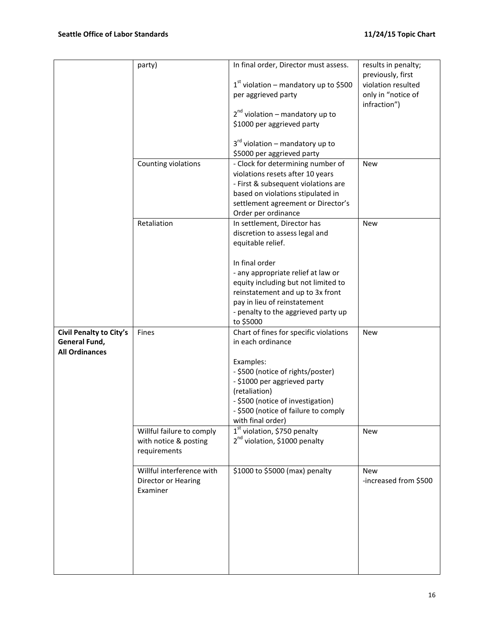|                                                                   | party)                                                             | In final order, Director must assess.<br>$1st$ violation – mandatory up to \$500<br>per aggrieved party<br>$2^{nd}$ violation – mandatory up to<br>\$1000 per aggrieved party<br>$3rd$ violation – mandatory up to<br>\$5000 per aggrieved party                                                          | results in penalty;<br>previously, first<br>violation resulted<br>only in "notice of<br>infraction") |
|-------------------------------------------------------------------|--------------------------------------------------------------------|-----------------------------------------------------------------------------------------------------------------------------------------------------------------------------------------------------------------------------------------------------------------------------------------------------------|------------------------------------------------------------------------------------------------------|
|                                                                   | Counting violations                                                | - Clock for determining number of<br>violations resets after 10 years<br>- First & subsequent violations are<br>based on violations stipulated in<br>settlement agreement or Director's<br>Order per ordinance                                                                                            | <b>New</b>                                                                                           |
|                                                                   | Retaliation                                                        | In settlement, Director has<br>discretion to assess legal and<br>equitable relief.<br>In final order<br>- any appropriate relief at law or<br>equity including but not limited to<br>reinstatement and up to 3x front<br>pay in lieu of reinstatement<br>- penalty to the aggrieved party up<br>to \$5000 | <b>New</b>                                                                                           |
| Civil Penalty to City's<br>General Fund,<br><b>All Ordinances</b> | Fines                                                              | Chart of fines for specific violations<br>in each ordinance<br>Examples:<br>- \$500 (notice of rights/poster)<br>- \$1000 per aggrieved party<br>(retaliation)<br>- \$500 (notice of investigation)<br>- \$500 (notice of failure to comply<br>with final order)                                          | <b>New</b>                                                                                           |
|                                                                   | Willful failure to comply<br>with notice & posting<br>requirements | 1 <sup>st</sup> violation, \$750 penalty<br>2 <sup>nd</sup> violation, \$1000 penalty                                                                                                                                                                                                                     | New                                                                                                  |
|                                                                   | Willful interference with<br>Director or Hearing<br>Examiner       | \$1000 to \$5000 (max) penalty                                                                                                                                                                                                                                                                            | <b>New</b><br>-increased from \$500                                                                  |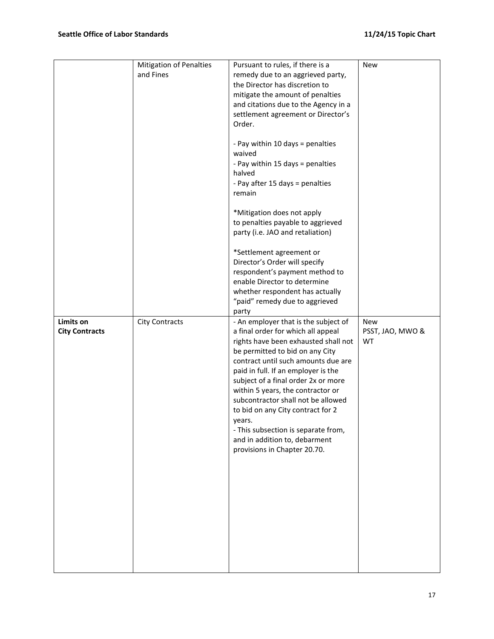|                                    | <b>Mitigation of Penalties</b><br>and Fines | Pursuant to rules, if there is a<br>remedy due to an aggrieved party,<br>the Director has discretion to<br>mitigate the amount of penalties<br>and citations due to the Agency in a<br>settlement agreement or Director's<br>Order.<br>- Pay within 10 days = penalties<br>waived<br>- Pay within 15 days = penalties<br>halved<br>- Pay after 15 days = penalties<br>remain<br>*Mitigation does not apply<br>to penalties payable to aggrieved<br>party (i.e. JAO and retaliation)<br>*Settlement agreement or<br>Director's Order will specify<br>respondent's payment method to<br>enable Director to determine<br>whether respondent has actually | <b>New</b>                           |
|------------------------------------|---------------------------------------------|-------------------------------------------------------------------------------------------------------------------------------------------------------------------------------------------------------------------------------------------------------------------------------------------------------------------------------------------------------------------------------------------------------------------------------------------------------------------------------------------------------------------------------------------------------------------------------------------------------------------------------------------------------|--------------------------------------|
|                                    |                                             | "paid" remedy due to aggrieved                                                                                                                                                                                                                                                                                                                                                                                                                                                                                                                                                                                                                        |                                      |
| Limits on<br><b>City Contracts</b> | <b>City Contracts</b>                       | party<br>- An employer that is the subject of<br>a final order for which all appeal<br>rights have been exhausted shall not<br>be permitted to bid on any City<br>contract until such amounts due are<br>paid in full. If an employer is the<br>subject of a final order 2x or more<br>within 5 years, the contractor or<br>subcontractor shall not be allowed<br>to bid on any City contract for 2<br>years.<br>- This subsection is separate from,<br>and in addition to, debarment<br>provisions in Chapter 20.70.                                                                                                                                 | <b>New</b><br>PSST, JAO, MWO &<br>WT |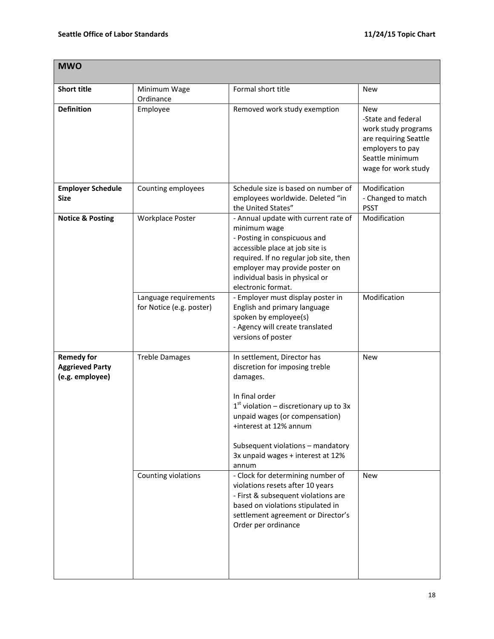| <b>MWO</b>                                                     |                                                   |                                                                                                                                                                                                                                                                                        |                                                                                                                                         |
|----------------------------------------------------------------|---------------------------------------------------|----------------------------------------------------------------------------------------------------------------------------------------------------------------------------------------------------------------------------------------------------------------------------------------|-----------------------------------------------------------------------------------------------------------------------------------------|
| <b>Short title</b>                                             | Minimum Wage<br>Ordinance                         | Formal short title                                                                                                                                                                                                                                                                     | <b>New</b>                                                                                                                              |
| <b>Definition</b>                                              | Employee                                          | Removed work study exemption                                                                                                                                                                                                                                                           | New<br>-State and federal<br>work study programs<br>are requiring Seattle<br>employers to pay<br>Seattle minimum<br>wage for work study |
| <b>Employer Schedule</b><br><b>Size</b>                        | Counting employees                                | Schedule size is based on number of<br>employees worldwide. Deleted "in<br>the United States"                                                                                                                                                                                          | Modification<br>- Changed to match<br><b>PSST</b>                                                                                       |
| <b>Notice &amp; Posting</b>                                    | Workplace Poster                                  | - Annual update with current rate of<br>minimum wage<br>- Posting in conspicuous and<br>accessible place at job site is<br>required. If no regular job site, then<br>employer may provide poster on<br>individual basis in physical or<br>electronic format.                           | Modification                                                                                                                            |
|                                                                | Language requirements<br>for Notice (e.g. poster) | - Employer must display poster in<br>English and primary language<br>spoken by employee(s)<br>- Agency will create translated<br>versions of poster                                                                                                                                    | Modification                                                                                                                            |
| <b>Remedy for</b><br><b>Aggrieved Party</b><br>(e.g. employee) | <b>Treble Damages</b>                             | In settlement, Director has<br>discretion for imposing treble<br>damages.<br>In final order<br>$1st$ violation – discretionary up to 3x<br>unpaid wages (or compensation)<br>+interest at 12% annum<br>Subsequent violations - mandatory<br>3x unpaid wages + interest at 12%<br>annum | <b>New</b>                                                                                                                              |
|                                                                | Counting violations                               | - Clock for determining number of<br>violations resets after 10 years<br>- First & subsequent violations are<br>based on violations stipulated in<br>settlement agreement or Director's<br>Order per ordinance                                                                         | <b>New</b>                                                                                                                              |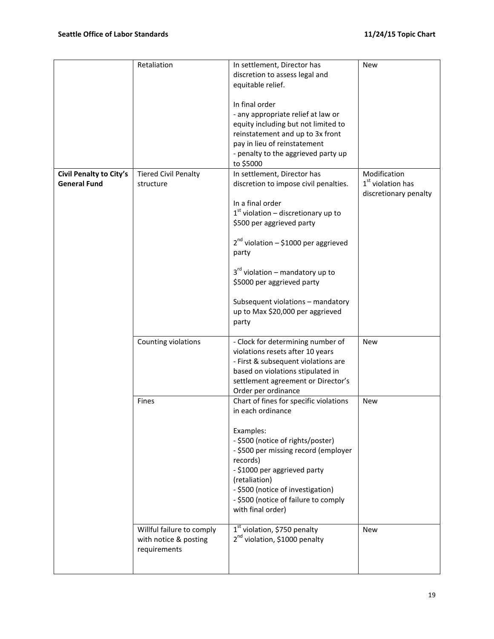|                                                | Retaliation                                                        | In settlement, Director has<br>discretion to assess legal and<br>equitable relief.<br>In final order<br>- any appropriate relief at law or<br>equity including but not limited to<br>reinstatement and up to 3x front<br>pay in lieu of reinstatement<br>- penalty to the aggrieved party up<br>to \$5000                                                                 | <b>New</b>                                                   |
|------------------------------------------------|--------------------------------------------------------------------|---------------------------------------------------------------------------------------------------------------------------------------------------------------------------------------------------------------------------------------------------------------------------------------------------------------------------------------------------------------------------|--------------------------------------------------------------|
| Civil Penalty to City's<br><b>General Fund</b> | <b>Tiered Civil Penalty</b><br>structure                           | In settlement, Director has<br>discretion to impose civil penalties.<br>In a final order<br>$1st$ violation – discretionary up to<br>\$500 per aggrieved party<br>$2^{nd}$ violation - \$1000 per aggrieved<br>party<br>$3rd$ violation – mandatory up to<br>\$5000 per aggrieved party<br>Subsequent violations - mandatory<br>up to Max \$20,000 per aggrieved<br>party | Modification<br>$1st$ violation has<br>discretionary penalty |
|                                                | Counting violations                                                | - Clock for determining number of<br>violations resets after 10 years<br>- First & subsequent violations are<br>based on violations stipulated in<br>settlement agreement or Director's<br>Order per ordinance                                                                                                                                                            | <b>New</b>                                                   |
|                                                | Fines                                                              | Chart of fines for specific violations<br>in each ordinance<br>Examples:<br>- \$500 (notice of rights/poster)<br>- \$500 per missing record (employer<br>records)<br>- \$1000 per aggrieved party<br>(retaliation)<br>- \$500 (notice of investigation)<br>- \$500 (notice of failure to comply<br>with final order)                                                      | <b>New</b>                                                   |
|                                                | Willful failure to comply<br>with notice & posting<br>requirements | 1 <sup>st</sup> violation, \$750 penalty<br>2 <sup>nd</sup> violation, \$1000 penalty                                                                                                                                                                                                                                                                                     | <b>New</b>                                                   |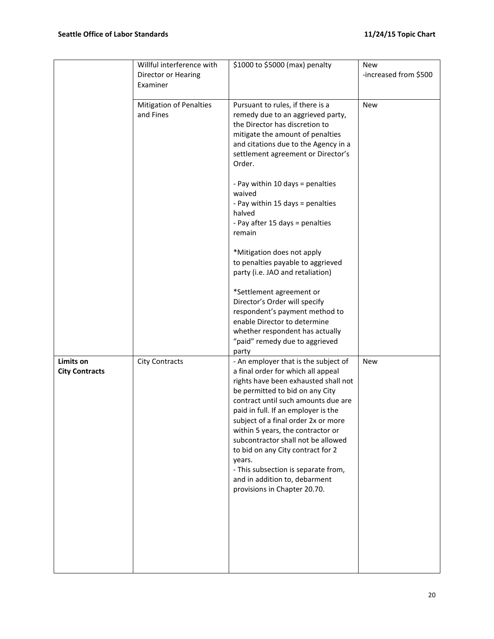|                                    | Willful interference with<br>Director or Hearing<br>Examiner | \$1000 to \$5000 (max) penalty                                                                                                                                                                                                                                                                                                                                                                                                                                                                               | <b>New</b><br>-increased from \$500 |
|------------------------------------|--------------------------------------------------------------|--------------------------------------------------------------------------------------------------------------------------------------------------------------------------------------------------------------------------------------------------------------------------------------------------------------------------------------------------------------------------------------------------------------------------------------------------------------------------------------------------------------|-------------------------------------|
|                                    | <b>Mitigation of Penalties</b><br>and Fines                  | Pursuant to rules, if there is a<br>remedy due to an aggrieved party,<br>the Director has discretion to<br>mitigate the amount of penalties<br>and citations due to the Agency in a<br>settlement agreement or Director's<br>Order.                                                                                                                                                                                                                                                                          | <b>New</b>                          |
|                                    |                                                              | - Pay within 10 days = penalties<br>waived<br>- Pay within 15 days = penalties<br>halved<br>- Pay after 15 days = penalties<br>remain                                                                                                                                                                                                                                                                                                                                                                        |                                     |
|                                    |                                                              | *Mitigation does not apply<br>to penalties payable to aggrieved<br>party (i.e. JAO and retaliation)                                                                                                                                                                                                                                                                                                                                                                                                          |                                     |
|                                    |                                                              | *Settlement agreement or<br>Director's Order will specify<br>respondent's payment method to<br>enable Director to determine<br>whether respondent has actually<br>"paid" remedy due to aggrieved<br>party                                                                                                                                                                                                                                                                                                    |                                     |
| Limits on<br><b>City Contracts</b> | <b>City Contracts</b>                                        | - An employer that is the subject of<br>a final order for which all appeal<br>rights have been exhausted shall not<br>be permitted to bid on any City<br>contract until such amounts due are<br>paid in full. If an employer is the<br>subject of a final order 2x or more<br>within 5 years, the contractor or<br>subcontractor shall not be allowed<br>to bid on any City contract for 2<br>years.<br>- This subsection is separate from,<br>and in addition to, debarment<br>provisions in Chapter 20.70. | <b>New</b>                          |
|                                    |                                                              |                                                                                                                                                                                                                                                                                                                                                                                                                                                                                                              |                                     |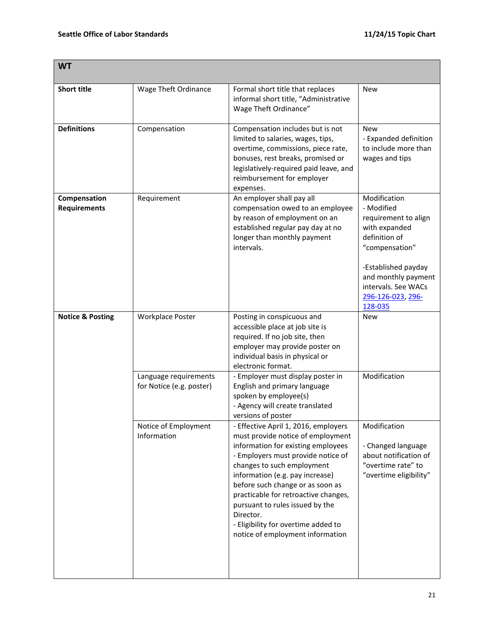| <b>WT</b>                           |                                                   |                                                                                                                                                                                                                                                                                                                                                                                                                               |                                                                                                                                                                                                             |
|-------------------------------------|---------------------------------------------------|-------------------------------------------------------------------------------------------------------------------------------------------------------------------------------------------------------------------------------------------------------------------------------------------------------------------------------------------------------------------------------------------------------------------------------|-------------------------------------------------------------------------------------------------------------------------------------------------------------------------------------------------------------|
| <b>Short title</b>                  | Wage Theft Ordinance                              | Formal short title that replaces<br>informal short title, "Administrative<br>Wage Theft Ordinance"                                                                                                                                                                                                                                                                                                                            | <b>New</b>                                                                                                                                                                                                  |
| <b>Definitions</b>                  | Compensation                                      | Compensation includes but is not<br>limited to salaries, wages, tips,<br>overtime, commissions, piece rate,<br>bonuses, rest breaks, promised or<br>legislatively-required paid leave, and<br>reimbursement for employer<br>expenses.                                                                                                                                                                                         | <b>New</b><br>- Expanded definition<br>to include more than<br>wages and tips                                                                                                                               |
| Compensation<br><b>Requirements</b> | Requirement                                       | An employer shall pay all<br>compensation owed to an employee<br>by reason of employment on an<br>established regular pay day at no<br>longer than monthly payment<br>intervals.                                                                                                                                                                                                                                              | Modification<br>- Modified<br>requirement to align<br>with expanded<br>definition of<br>"compensation"<br>-Established payday<br>and monthly payment<br>intervals. See WACs<br>296-126-023, 296-<br>128-035 |
| <b>Notice &amp; Posting</b>         | <b>Workplace Poster</b>                           | Posting in conspicuous and<br>accessible place at job site is<br>required. If no job site, then<br>employer may provide poster on<br>individual basis in physical or<br>electronic format.                                                                                                                                                                                                                                    | <b>New</b>                                                                                                                                                                                                  |
|                                     | Language requirements<br>for Notice (e.g. poster) | - Employer must display poster in<br>English and primary language<br>spoken by employee(s)<br>- Agency will create translated<br>versions of poster                                                                                                                                                                                                                                                                           | Modification                                                                                                                                                                                                |
|                                     | Notice of Employment<br>Information               | - Effective April 1, 2016, employers<br>must provide notice of employment<br>information for existing employees<br>- Employers must provide notice of<br>changes to such employment<br>information (e.g. pay increase)<br>before such change or as soon as<br>practicable for retroactive changes,<br>pursuant to rules issued by the<br>Director.<br>- Eligibility for overtime added to<br>notice of employment information | Modification<br>- Changed language<br>about notification of<br>"overtime rate" to<br>"overtime eligibility"                                                                                                 |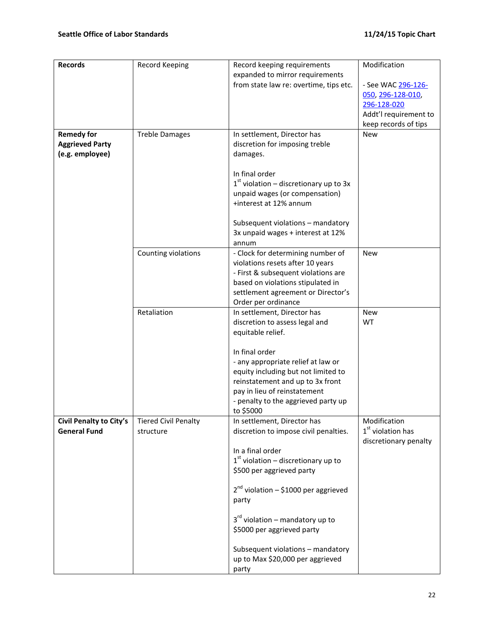| <b>Records</b>                                 | <b>Record Keeping</b> | Record keeping requirements               | Modification                  |
|------------------------------------------------|-----------------------|-------------------------------------------|-------------------------------|
|                                                |                       | expanded to mirror requirements           |                               |
|                                                |                       | from state law re: overtime, tips etc.    | - See WAC <u>296-126-</u>     |
|                                                |                       |                                           | 050, 296-128-010,             |
|                                                |                       |                                           | 296-128-020                   |
|                                                |                       |                                           | Addt'l requirement to         |
|                                                |                       |                                           | keep records of tips          |
| <b>Remedy for</b>                              | <b>Treble Damages</b> | In settlement, Director has               | <b>New</b>                    |
| <b>Aggrieved Party</b>                         |                       | discretion for imposing treble            |                               |
| (e.g. employee)                                |                       | damages.                                  |                               |
|                                                |                       |                                           |                               |
|                                                |                       | In final order                            |                               |
|                                                |                       | $1st$ violation – discretionary up to 3x  |                               |
|                                                |                       | unpaid wages (or compensation)            |                               |
|                                                |                       | +interest at 12% annum                    |                               |
|                                                |                       |                                           |                               |
|                                                |                       | Subsequent violations - mandatory         |                               |
|                                                |                       | 3x unpaid wages + interest at 12%         |                               |
|                                                |                       | annum                                     |                               |
|                                                | Counting violations   | - Clock for determining number of         | <b>New</b>                    |
|                                                |                       | violations resets after 10 years          |                               |
|                                                |                       | - First & subsequent violations are       |                               |
|                                                |                       | based on violations stipulated in         |                               |
|                                                |                       | settlement agreement or Director's        |                               |
|                                                |                       | Order per ordinance                       |                               |
|                                                | Retaliation           | In settlement, Director has               | <b>New</b>                    |
|                                                |                       | discretion to assess legal and            | <b>WT</b>                     |
|                                                |                       | equitable relief.                         |                               |
|                                                |                       | In final order                            |                               |
|                                                |                       | - any appropriate relief at law or        |                               |
|                                                |                       | equity including but not limited to       |                               |
|                                                |                       | reinstatement and up to 3x front          |                               |
|                                                |                       | pay in lieu of reinstatement              |                               |
|                                                |                       | - penalty to the aggrieved party up       |                               |
|                                                |                       | to \$5000                                 |                               |
| Civil Penalty to City's   Tiered Civil Penalty |                       | In settlement, Director has               | Modification                  |
| <b>General Fund</b>                            | structure             | discretion to impose civil penalties.     | 1 <sup>st</sup> violation has |
|                                                |                       |                                           | discretionary penalty         |
|                                                |                       | In a final order                          |                               |
|                                                |                       | $1st$ violation – discretionary up to     |                               |
|                                                |                       | \$500 per aggrieved party                 |                               |
|                                                |                       |                                           |                               |
|                                                |                       | $2^{nd}$ violation – \$1000 per aggrieved |                               |
|                                                |                       | party                                     |                               |
|                                                |                       |                                           |                               |
|                                                |                       | $3rd$ violation – mandatory up to         |                               |
|                                                |                       | \$5000 per aggrieved party                |                               |
|                                                |                       |                                           |                               |
|                                                |                       | Subsequent violations - mandatory         |                               |
|                                                |                       | up to Max \$20,000 per aggrieved          |                               |
|                                                |                       | party                                     |                               |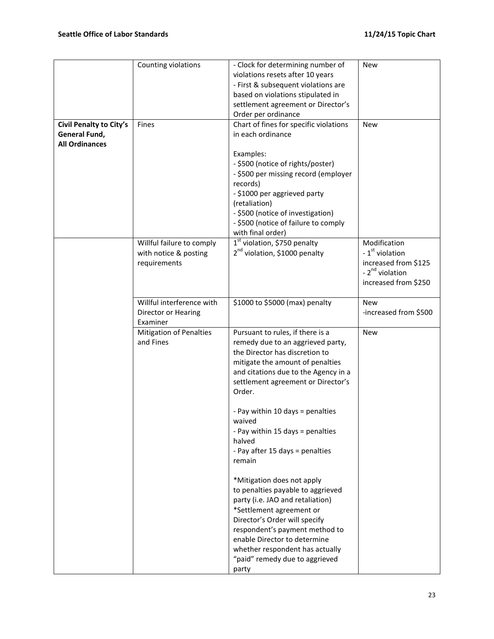|                         | Counting violations            | - Clock for determining number of         | <b>New</b>                  |
|-------------------------|--------------------------------|-------------------------------------------|-----------------------------|
|                         |                                | violations resets after 10 years          |                             |
|                         |                                | - First & subsequent violations are       |                             |
|                         |                                |                                           |                             |
|                         |                                | based on violations stipulated in         |                             |
|                         |                                | settlement agreement or Director's        |                             |
|                         |                                | Order per ordinance                       |                             |
| Civil Penalty to City's | Fines                          | Chart of fines for specific violations    | <b>New</b>                  |
|                         |                                |                                           |                             |
| General Fund,           |                                | in each ordinance                         |                             |
| <b>All Ordinances</b>   |                                |                                           |                             |
|                         |                                | Examples:                                 |                             |
|                         |                                | - \$500 (notice of rights/poster)         |                             |
|                         |                                |                                           |                             |
|                         |                                | - \$500 per missing record (employer      |                             |
|                         |                                | records)                                  |                             |
|                         |                                | - \$1000 per aggrieved party              |                             |
|                         |                                | (retaliation)                             |                             |
|                         |                                | - \$500 (notice of investigation)         |                             |
|                         |                                |                                           |                             |
|                         |                                | - \$500 (notice of failure to comply      |                             |
|                         |                                | with final order)                         |                             |
|                         | Willful failure to comply      | $1st$ violation, \$750 penalty            | Modification                |
|                         | with notice & posting          | 2 <sup>nd</sup> violation, \$1000 penalty | - 1 <sup>st</sup> violation |
|                         |                                |                                           | increased from \$125        |
|                         | requirements                   |                                           |                             |
|                         |                                |                                           | - 2 <sup>nd</sup> violation |
|                         |                                |                                           | increased from \$250        |
|                         |                                |                                           |                             |
|                         | Willful interference with      | \$1000 to \$5000 (max) penalty            | <b>New</b>                  |
|                         | Director or Hearing            |                                           | -increased from \$500       |
|                         |                                |                                           |                             |
|                         | Examiner                       |                                           |                             |
|                         | <b>Mitigation of Penalties</b> | Pursuant to rules, if there is a          | <b>New</b>                  |
|                         | and Fines                      | remedy due to an aggrieved party,         |                             |
|                         |                                | the Director has discretion to            |                             |
|                         |                                | mitigate the amount of penalties          |                             |
|                         |                                |                                           |                             |
|                         |                                | and citations due to the Agency in a      |                             |
|                         |                                | settlement agreement or Director's        |                             |
|                         |                                | Order.                                    |                             |
|                         |                                |                                           |                             |
|                         |                                | - Pay within 10 days = penalties          |                             |
|                         |                                |                                           |                             |
|                         |                                | waived                                    |                             |
|                         |                                | - Pay within 15 days = penalties          |                             |
|                         |                                | halved                                    |                             |
|                         |                                | - Pay after 15 days = penalties           |                             |
|                         |                                | remain                                    |                             |
|                         |                                |                                           |                             |
|                         |                                |                                           |                             |
|                         |                                | *Mitigation does not apply                |                             |
|                         |                                | to penalties payable to aggrieved         |                             |
|                         |                                | party (i.e. JAO and retaliation)          |                             |
|                         |                                | *Settlement agreement or                  |                             |
|                         |                                |                                           |                             |
|                         |                                | Director's Order will specify             |                             |
|                         |                                | respondent's payment method to            |                             |
|                         |                                | enable Director to determine              |                             |
|                         |                                | whether respondent has actually           |                             |
|                         |                                | "paid" remedy due to aggrieved            |                             |
|                         |                                |                                           |                             |
|                         |                                | party                                     |                             |